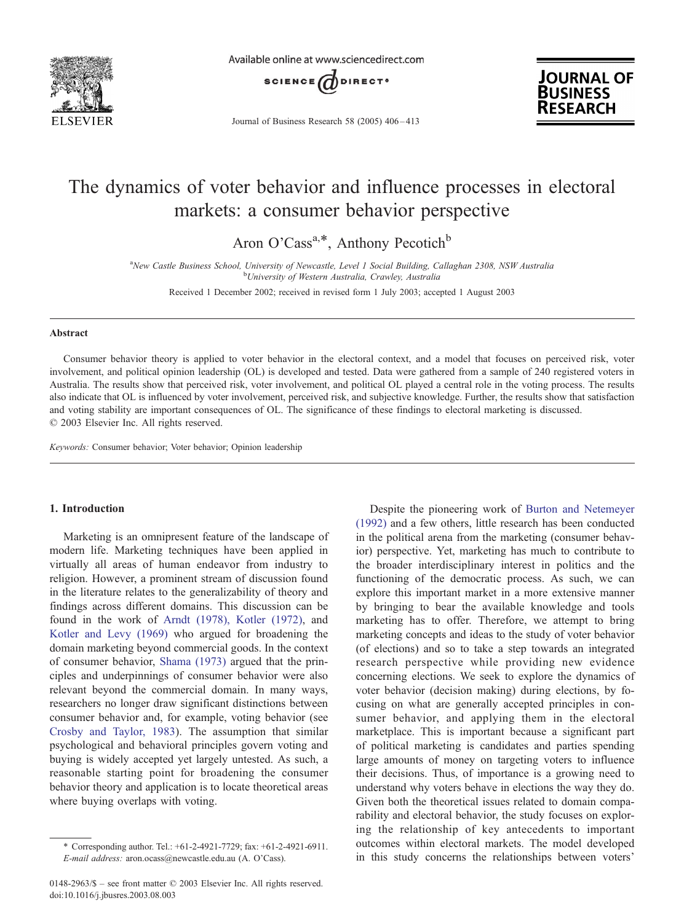

Available online at www.sciencedirect.com



Journal of Business Research 58 (2005) 406 – 413



# The dynamics of voter behavior and influence processes in electoral markets: a consumer behavior perspective

Aron O'Cass<sup>a,\*</sup>, Anthony Pecotich<sup>b</sup>

<sup>a</sup>New Castle Business School, University of Newcastle, Level 1 Social Building, Callaghan 2308, NSW Australia <sup>b</sup>University of Western Australia, Crawley, Australia

Received 1 December 2002; received in revised form 1 July 2003; accepted 1 August 2003

#### Abstract

Consumer behavior theory is applied to voter behavior in the electoral context, and a model that focuses on perceived risk, voter involvement, and political opinion leadership (OL) is developed and tested. Data were gathered from a sample of 240 registered voters in Australia. The results show that perceived risk, voter involvement, and political OL played a central role in the voting process. The results also indicate that OL is influenced by voter involvement, perceived risk, and subjective knowledge. Further, the results show that satisfaction and voting stability are important consequences of OL. The significance of these findings to electoral marketing is discussed.  $© 2003 Elsevier Inc. All rights reserved.$ 

Keywords: Consumer behavior; Voter behavior; Opinion leadership

### 1. Introduction

Marketing is an omnipresent feature of the landscape of modern life. Marketing techniques have been applied in virtually all areas of human endeavor from industry to religion. However, a prominent stream of discussion found in the literature relates to the generalizability of theory and findings across different domains. This discussion can be found in the work of [Arndt \(1978\), Kotler \(1972\),](#page--1-0) and [Kotler and Levy \(1969\)](#page--1-0) who argued for broadening the domain marketing beyond commercial goods. In the context of consumer behavior, [Shama \(1973\)](#page--1-0) argued that the principles and underpinnings of consumer behavior were also relevant beyond the commercial domain. In many ways, researchers no longer draw significant distinctions between consumer behavior and, for example, voting behavior (see [Crosby and Taylor, 1983\)](#page--1-0). The assumption that similar psychological and behavioral principles govern voting and buying is widely accepted yet largely untested. As such, a reasonable starting point for broadening the consumer behavior theory and application is to locate theoretical areas where buying overlaps with voting.

in the political arena from the marketing (consumer behavior) perspective. Yet, marketing has much to contribute to the broader interdisciplinary interest in politics and the functioning of the democratic process. As such, we can explore this important market in a more extensive manner by bringing to bear the available knowledge and tools marketing has to offer. Therefore, we attempt to bring marketing concepts and ideas to the study of voter behavior (of elections) and so to take a step towards an integrated research perspective while providing new evidence concerning elections. We seek to explore the dynamics of voter behavior (decision making) during elections, by focusing on what are generally accepted principles in consumer behavior, and applying them in the electoral marketplace. This is important because a significant part of political marketing is candidates and parties spending large amounts of money on targeting voters to influence their decisions. Thus, of importance is a growing need to understand why voters behave in elections the way they do. Given both the theoretical issues related to domain comparability and electoral behavior, the study focuses on exploring the relationship of key antecedents to important outcomes within electoral markets. The model developed in this study concerns the relationships between voters'

Despite the pioneering work of [Burton and Netemeyer](#page--1-0) (1992) and a few others, little research has been conducted

<sup>\*</sup> Corresponding author. Tel.: +61-2-4921-7729; fax: +61-2-4921-6911. E-mail address: aron.ocass@newcastle.edu.au (A. O'Cass).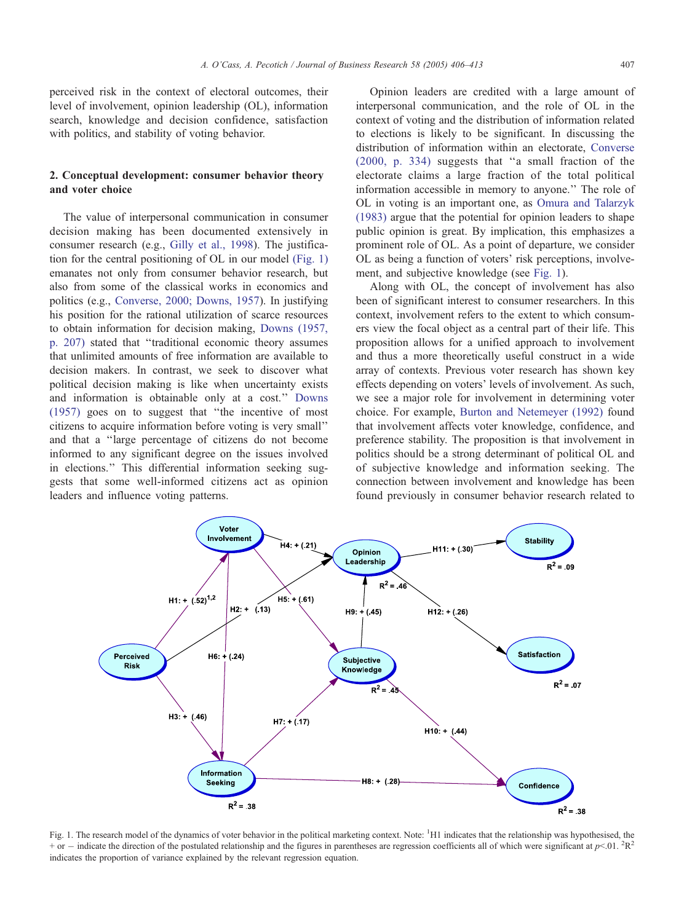perceived risk in the context of electoral outcomes, their level of involvement, opinion leadership (OL), information search, knowledge and decision confidence, satisfaction with politics, and stability of voting behavior.

### 2. Conceptual development: consumer behavior theory and voter choice

The value of interpersonal communication in consumer decision making has been documented extensively in consumer research (e.g., [Gilly et al., 1998\)](#page--1-0). The justification for the central positioning of OL in our model (Fig. 1) emanates not only from consumer behavior research, but also from some of the classical works in economics and politics (e.g., [Converse, 2000; Downs, 1957\)](#page--1-0). In justifying his position for the rational utilization of scarce resources to obtain information for decision making, [Downs \(1957,](#page--1-0) p. 207) stated that ''traditional economic theory assumes that unlimited amounts of free information are available to decision makers. In contrast, we seek to discover what political decision making is like when uncertainty exists and information is obtainable only at a cost.'' [Downs](#page--1-0) (1957) goes on to suggest that ''the incentive of most citizens to acquire information before voting is very small'' and that a ''large percentage of citizens do not become informed to any significant degree on the issues involved in elections.'' This differential information seeking suggests that some well-informed citizens act as opinion leaders and influence voting patterns.

Opinion leaders are credited with a large amount of interpersonal communication, and the role of OL in the context of voting and the distribution of information related to elections is likely to be significant. In discussing the distribution of information within an electorate, [Converse](#page--1-0) (2000, p. 334) suggests that ''a small fraction of the electorate claims a large fraction of the total political information accessible in memory to anyone.'' The role of OL in voting is an important one, as [Omura and Talarzyk](#page--1-0) (1983) argue that the potential for opinion leaders to shape public opinion is great. By implication, this emphasizes a prominent role of OL. As a point of departure, we consider OL as being a function of voters' risk perceptions, involvement, and subjective knowledge (see Fig. 1).

Along with OL, the concept of involvement has also been of significant interest to consumer researchers. In this context, involvement refers to the extent to which consumers view the focal object as a central part of their life. This proposition allows for a unified approach to involvement and thus a more theoretically useful construct in a wide array of contexts. Previous voter research has shown key effects depending on voters' levels of involvement. As such, we see a major role for involvement in determining voter choice. For example, [Burton and Netemeyer \(1992\)](#page--1-0) found that involvement affects voter knowledge, confidence, and preference stability. The proposition is that involvement in politics should be a strong determinant of political OL and of subjective knowledge and information seeking. The connection between involvement and knowledge has been found previously in consumer behavior research related to



Fig. 1. The research model of the dynamics of voter behavior in the political marketing context. Note: <sup>1</sup>H1 indicates that the relationship was hypothesised, the  $+$  or  $-$  indicate the direction of the postulated relationship and the figures in parentheses are regression coefficients all of which were significant at  $p< 0.01$ .  ${}^{2}R^{2}$ indicates the proportion of variance explained by the relevant regression equation.